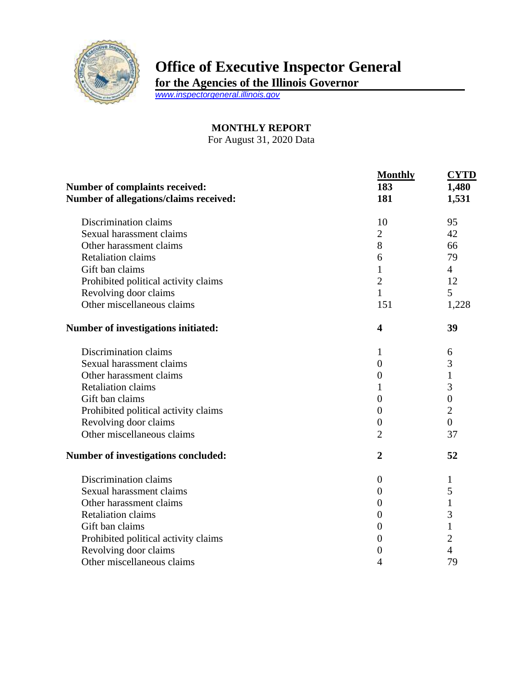

## **Office of Executive Inspector General**

**for the Agencies of the Illinois Governor**

*[www.inspectorgeneral.illinois.gov](http://www.inspectorgeneral.illinois.gov/)*

## **MONTHLY REPORT**

For August 31, 2020 Data

|                                        | <b>Monthly</b><br>183<br>181 | <b>CYTD</b><br>1,480<br>1,531 |
|----------------------------------------|------------------------------|-------------------------------|
| Number of complaints received:         |                              |                               |
| Number of allegations/claims received: |                              |                               |
| Discrimination claims                  | 10                           | 95                            |
| Sexual harassment claims               | $\overline{2}$               | 42                            |
| Other harassment claims                | 8                            | 66                            |
| <b>Retaliation claims</b>              | 6                            | 79                            |
| Gift ban claims                        | 1                            | $\overline{4}$                |
| Prohibited political activity claims   | $\overline{2}$               | 12                            |
| Revolving door claims                  | $\mathbf{1}$                 | 5                             |
| Other miscellaneous claims             | 151                          | 1,228                         |
| Number of investigations initiated:    | $\overline{\mathbf{4}}$      | 39                            |
| Discrimination claims                  | 1                            | 6                             |
| Sexual harassment claims               | $\theta$                     | 3                             |
| Other harassment claims                | $\boldsymbol{0}$             | $\mathbf 1$                   |
| <b>Retaliation claims</b>              | 1                            | 3                             |
| Gift ban claims                        | $\overline{0}$               | $\boldsymbol{0}$              |
| Prohibited political activity claims   | $\overline{0}$               | $\overline{2}$                |
| Revolving door claims                  | $\overline{0}$               | $\overline{0}$                |
| Other miscellaneous claims             | $\overline{2}$               | 37                            |
| Number of investigations concluded:    | $\boldsymbol{2}$             | 52                            |
| Discrimination claims                  | $\theta$                     | 1                             |
| Sexual harassment claims               | $\theta$                     | 5                             |
| Other harassment claims                | $\theta$                     | $\mathbf{1}$                  |
| <b>Retaliation claims</b>              | $\overline{0}$               | 3                             |
| Gift ban claims                        | $\boldsymbol{0}$             | $\mathbf{1}$                  |
| Prohibited political activity claims   | $\theta$                     | $\overline{2}$                |
| Revolving door claims                  | 0                            | $\overline{4}$                |
| Other miscellaneous claims             | 4                            | 79                            |